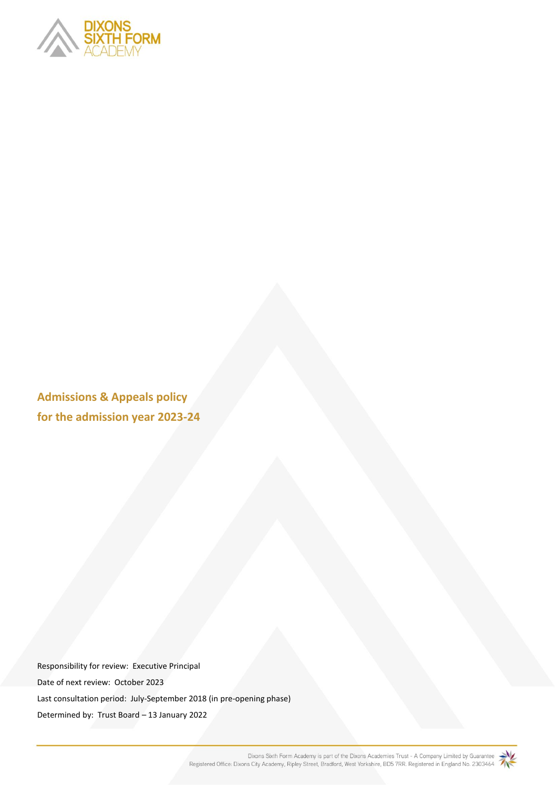

**Admissions & Appeals policy for the admission year 2023-24**

Responsibility for review: Executive Principal Date of next review: October 2023 Last consultation period: July-September 2018 (in pre-opening phase) Determined by: Trust Board – 13 January 2022

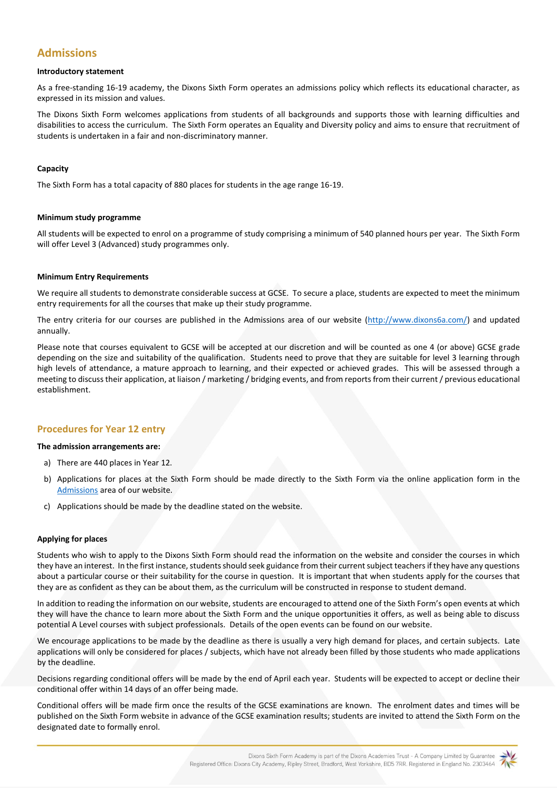# **Admissions**

#### **Introductory statement**

As a free-standing 16-19 academy, the Dixons Sixth Form operates an admissions policy which reflects its educational character, as expressed in its mission and values.

The Dixons Sixth Form welcomes applications from students of all backgrounds and supports those with learning difficulties and disabilities to access the curriculum. The Sixth Form operates an Equality and Diversity policy and aims to ensure that recruitment of students is undertaken in a fair and non-discriminatory manner.

## **Capacity**

The Sixth Form has a total capacity of 880 places for students in the age range 16-19.

## **Minimum study programme**

All students will be expected to enrol on a programme of study comprising a minimum of 540 planned hours per year. The Sixth Form will offer Level 3 (Advanced) study programmes only.

## **Minimum Entry Requirements**

We require all students to demonstrate considerable success at GCSE. To secure a place, students are expected to meet the minimum entry requirements for all the courses that make up their study programme.

The entry criteria for our courses are published in the Admissions area of our website [\(http://www.dixons6a.com/\) a](http://www.dixons6a.com/)nd updated annually.

Please note that courses equivalent to GCSE will be accepted at our discretion and will be counted as one 4 (or above) GCSE grade depending on the size and suitability of the qualification. Students need to prove that they are suitable for level 3 learning through high levels of attendance, a mature approach to learning, and their expected or achieved grades. This will be assessed through a meeting to discuss their application, at liaison / marketing / bridging events, and from reports from their current / previous educational establishment.

## **Procedures for Year 12 entry**

#### **The admission arrangements are:**

- a) There are 440 places in Year 12.
- b) Applications for places at the Sixth Form should be made directly to the Sixth Form via the online application form in the [Admissions](https://www.dixons6a.com/admissions/apply) area of our website.
- c) Applications should be made by the deadline stated on the website.

#### **Applying for places**

Students who wish to apply to the Dixons Sixth Form should read the information on the website [an](http://www.dixons6a.com/)d consider the courses in which they have an interest. In the first instance, students should seek guidance from their current subject teachers if they have any questions about a particular course or their suitability for the course in question. It is important that when students apply for the courses that they are as confident as they can be about them, as the curriculum will be constructed in response to student demand.

In addition to reading the information on our website, students are encouraged to attend one of the Sixth Form's open events at which they will have the chance to learn more about the Sixth Form and the unique opportunities it offers, as well as being able to discuss potential A Level courses with subject professionals. Details of the open events can be found on our website.

We encourage applications to be made by the deadline as there is usually a very high demand for places, and certain subjects. Late applications will only be considered for places / subjects, which have not already been filled by those students who made applications by the deadline.

Decisions regarding conditional offers will be made by the end of April each year. Students will be expected to accept or decline their conditional offer within 14 days of an offer being made.

Conditional offers will be made firm once the results of the GCSE examinations are known. The enrolment dates and times will be published on the Sixth Form website in advance of the GCSE examination results; students are invited to attend the Sixth Form on the designated date to formally enrol.

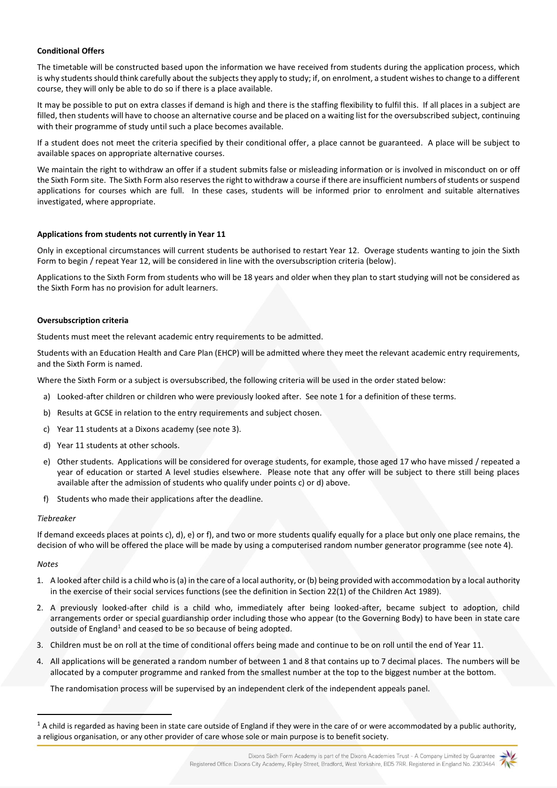## **Conditional Offers**

The timetable will be constructed based upon the information we have received from students during the application process, which is why students should think carefully about the subjects they apply to study; if, on enrolment, a student wishes to change to a different course, they will only be able to do so if there is a place available.

It may be possible to put on extra classes if demand is high and there is the staffing flexibility to fulfil this. If all places in a subject are filled, then students will have to choose an alternative course and be placed on a waiting list for the oversubscribed subject, continuing with their programme of study until such a place becomes available.

If a student does not meet the criteria specified by their conditional offer, a place cannot be guaranteed. A place will be subject to available spaces on appropriate alternative courses.

We maintain the right to withdraw an offer if a student submits false or misleading information or is involved in misconduct on or off the Sixth Form site. The Sixth Form also reserves the right to withdraw a course if there are insufficient numbers of students or suspend applications for courses which are full. In these cases, students will be informed prior to enrolment and suitable alternatives investigated, where appropriate.

#### **Applications from students not currently in Year 11**

Only in exceptional circumstances will current students be authorised to restart Year 12. Overage students wanting to join the Sixth Form to begin / repeat Year 12, will be considered in line with the oversubscription criteria (below).

Applications to the Sixth Form from students who will be 18 years and older when they plan to start studying will not be considered as the Sixth Form has no provision for adult learners.

#### **Oversubscription criteria**

Students must meet the relevant academic entry requirements to be admitted.

Students with an Education Health and Care Plan (EHCP) will be admitted where they meet the relevant academic entry requirements, and the Sixth Form is named.

Where the Sixth Form or a subject is oversubscribed, the following criteria will be used in the order stated below:

- a) Looked-after children or children who were previously looked after. See note 1 for a definition of these terms.
- b) Results at GCSE in relation to the entry requirements and subject chosen.
- c) Year 11 students at a Dixons academy (see note 3).
- d) Year 11 students at other schools.
- e) Other students. Applications will be considered for overage students, for example, those aged 17 who have missed / repeated a year of education or started A level studies elsewhere. Please note that any offer will be subject to there still being places available after the admission of students who qualify under points c) or d) above.
- f) Students who made their applications after the deadline.

#### *Tiebreaker*

If demand exceeds places at points c), d), e) or f), and two or more students qualify equally for a place but only one place remains, the decision of who will be offered the place will be made by using a computerised random number generator programme (see note 4).

#### *Notes*

- 1. A looked after child is a child who is (a) in the care of a local authority, or (b) being provided with accommodation by a local authority in the exercise of their social services functions (see the definition in Section 22(1) of the Children Act 1989).
- 2. A previously looked-after child is a child who, immediately after being looked-after, became subject to adoption, child arrangements order or special guardianship order including those who appear (to the Governing Body) to have been in state care outside of England<sup>1</sup> and ceased to be so because of being adopted.
- 3. Children must be on roll at the time of conditional offers being made and continue to be on roll until the end of Year 11.
- 4. All applications will be generated a random number of between 1 and 8 that contains up to 7 decimal places. The numbers will be allocated by a computer programme and ranked from the smallest number at the top to the biggest number at the bottom.

The randomisation process will be supervised by an independent clerk of the independent appeals panel.



 $1$  A child is regarded as having been in state care outside of England if they were in the care of or were accommodated by a public authority, a religious organisation, or any other provider of care whose sole or main purpose is to benefit society.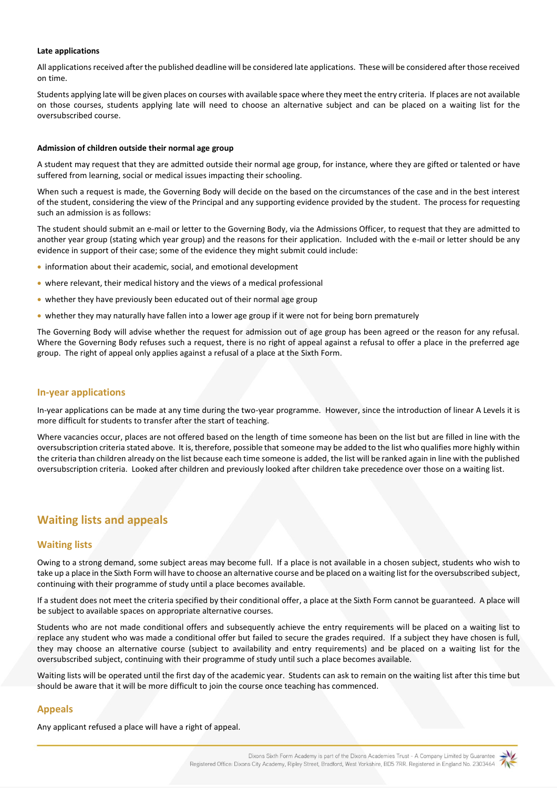#### **Late applications**

All applications received after the published deadline will be considered late applications. These will be considered after those received on time.

Students applying late will be given places on courses with available space where they meet the entry criteria. If places are not available on those courses, students applying late will need to choose an alternative subject and can be placed on a waiting list for the oversubscribed course.

#### **Admission of children outside their normal age group**

A student may request that they are admitted outside their normal age group, for instance, where they are gifted or talented or have suffered from learning, social or medical issues impacting their schooling.

When such a request is made, the Governing Body will decide on the based on the circumstances of the case and in the best interest of the student, considering the view of the Principal and any supporting evidence provided by the student. The process for requesting such an admission is as follows:

The student should submit an e-mail or letter to the Governing Body, via the Admissions Officer, to request that they are admitted to another year group (stating which year group) and the reasons for their application. Included with the e-mail or letter should be any evidence in support of their case; some of the evidence they might submit could include:

- information about their academic, social, and emotional development
- where relevant, their medical history and the views of a medical professional
- whether they have previously been educated out of their normal age group
- whether they may naturally have fallen into a lower age group if it were not for being born prematurely

The Governing Body will advise whether the request for admission out of age group has been agreed or the reason for any refusal. Where the Governing Body refuses such a request, there is no right of appeal against a refusal to offer a place in the preferred age group. The right of appeal only applies against a refusal of a place at the Sixth Form.

#### **In-year applications**

In-year applications can be made at any time during the two-year programme. However, since the introduction of linear A Levels it is more difficult for students to transfer after the start of teaching.

Where vacancies occur, places are not offered based on the length of time someone has been on the list but are filled in line with the oversubscription criteria stated above. It is, therefore, possible that someone may be added to the list who qualifies more highly within the criteria than children already on the list because each time someone is added, the list will be ranked again in line with the published oversubscription criteria. Looked after children and previously looked after children take precedence over those on a waiting list.

## **Waiting lists and appeals**

## **Waiting lists**

Owing to a strong demand, some subject areas may become full. If a place is not available in a chosen subject, students who wish to take up a place in the Sixth Form will have to choose an alternative course and be placed on a waiting list for the oversubscribed subject, continuing with their programme of study until a place becomes available.

If a student does not meet the criteria specified by their conditional offer, a place at the Sixth Form cannot be guaranteed. A place will be subject to available spaces on appropriate alternative courses.

Students who are not made conditional offers and subsequently achieve the entry requirements will be placed on a waiting list to replace any student who was made a conditional offer but failed to secure the grades required. If a subject they have chosen is full, they may choose an alternative course (subject to availability and entry requirements) and be placed on a waiting list for the oversubscribed subject, continuing with their programme of study until such a place becomes available.

Waiting lists will be operated until the first day of the academic year. Students can ask to remain on the waiting list after this time but should be aware that it will be more difficult to join the course once teaching has commenced.

## **Appeals**

Any applicant refused a place will have a right of appeal.